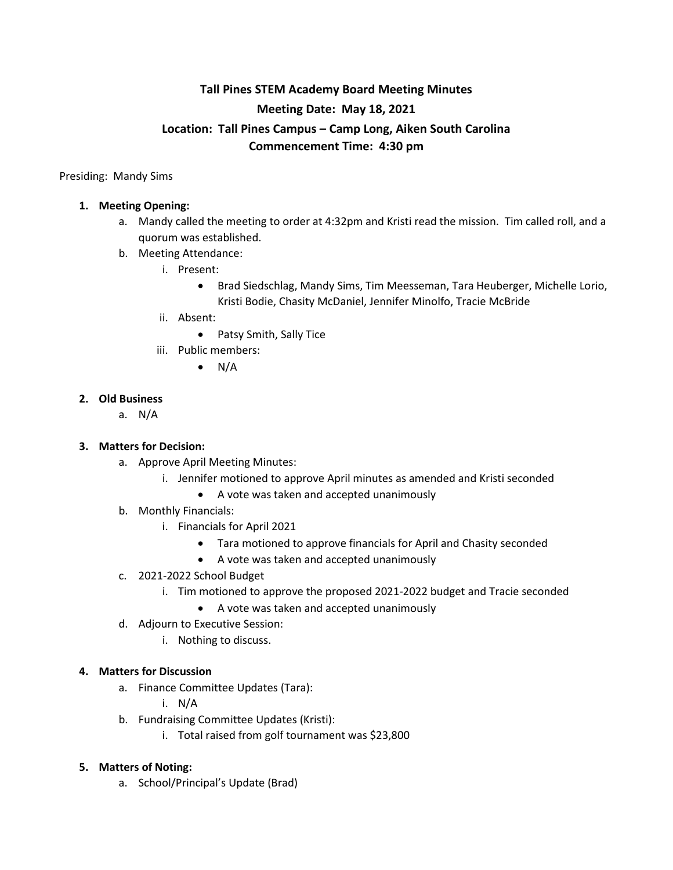# **Tall Pines STEM Academy Board Meeting Minutes Meeting Date: May 18, 2021 Location: Tall Pines Campus – Camp Long, Aiken South Carolina Commencement Time: 4:30 pm**

Presiding: Mandy Sims

#### **1. Meeting Opening:**

- a. Mandy called the meeting to order at 4:32pm and Kristi read the mission. Tim called roll, and a quorum was established.
- b. Meeting Attendance:
	- i. Present:
		- Brad Siedschlag, Mandy Sims, Tim Meesseman, Tara Heuberger, Michelle Lorio, Kristi Bodie, Chasity McDaniel, Jennifer Minolfo, Tracie McBride
	- ii. Absent:
		- Patsy Smith, Sally Tice
	- iii. Public members:
		- $\bullet$  N/A

#### **2. Old Business**

a. N/A

### **3. Matters for Decision:**

- a. Approve April Meeting Minutes:
	- i. Jennifer motioned to approve April minutes as amended and Kristi seconded
		- A vote was taken and accepted unanimously
- b. Monthly Financials:
	- i. Financials for April 2021
		- Tara motioned to approve financials for April and Chasity seconded
		- A vote was taken and accepted unanimously
- c. 2021-2022 School Budget
	- i. Tim motioned to approve the proposed 2021-2022 budget and Tracie seconded
		- A vote was taken and accepted unanimously
- d. Adjourn to Executive Session:
	- i. Nothing to discuss.

#### **4. Matters for Discussion**

- a. Finance Committee Updates (Tara):
	- i. N/A
- b. Fundraising Committee Updates (Kristi):
	- i. Total raised from golf tournament was \$23,800

#### **5. Matters of Noting:**

a. School/Principal's Update (Brad)